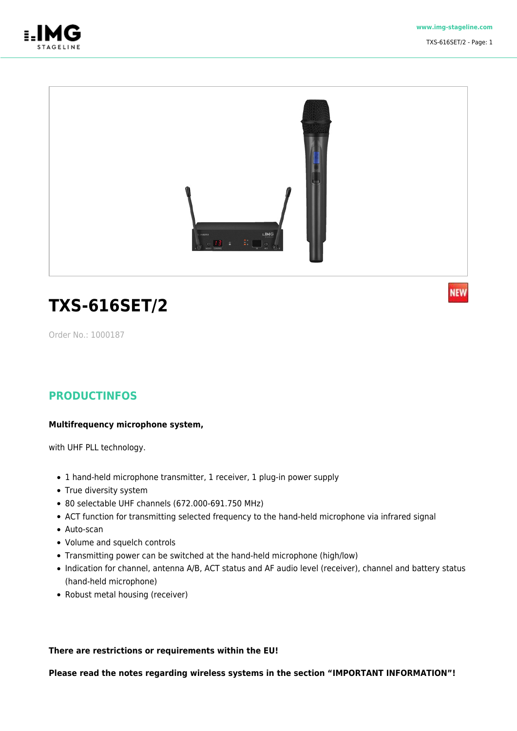

**NEW** 



# **TXS-616SET/2**

Order No.: 1000187

### **PRODUCTINFOS**

#### **Multifrequency microphone system,**

with UHF PLL technology.

- 1 hand-held microphone transmitter, 1 receiver, 1 plug-in power supply
- True diversity system
- 80 selectable UHF channels (672.000-691.750 MHz)
- ACT function for transmitting selected frequency to the hand-held microphone via infrared signal
- Auto-scan
- Volume and squelch controls
- Transmitting power can be switched at the hand-held microphone (high/low)
- Indication for channel, antenna A/B, ACT status and AF audio level (receiver), channel and battery status (hand-held microphone)
- Robust metal housing (receiver)

#### **There are restrictions or requirements within the EU!**

#### **Please read the notes regarding wireless systems in the section "IMPORTANT INFORMATION"!**